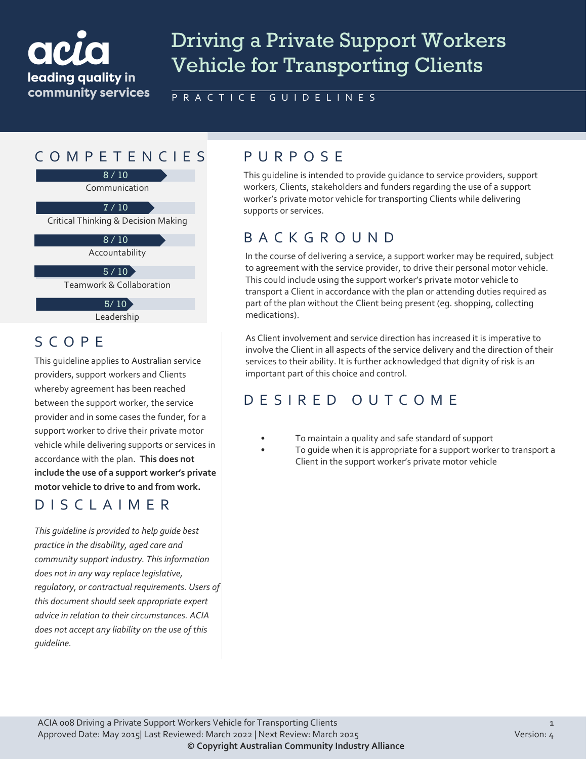# acr leading quality in community services

# Driving a Private Support Workers Vehicle for Transporting Clients

PRACTICE GUIDELINES

# COMPETENCIES PURPOS E

8 / 10

Communication

7 / 10

Critical Thinking & Decision Making

 $8/10$ 

Accountability

 $5 / 10$ 

Teamwork & Collaboration

 $5/10$ 

Leadership

#### SCOPE

This guideline applies to Australian service providers, support workers and Clients whereby agreement has been reached between the support worker, the service provider and in some cases the funder, for a support worker to drive their private motor vehicle while delivering supports or services in accordance with the plan. **This does not include the use of a support worker's private motor vehicle to drive to and from work.**

#### DISCLAIMER

*This guideline is provided to help guide best practice in the disability, aged care and community support industry. This information does not in any way replace legislative, regulatory, or contractual requirements. Users of this document should seek appropriate expert advice in relation to their circumstances. ACIA does not accept any liability on the use of this guideline.*

This guideline is intended to provide guidance to service providers, support workers, Clients, stakeholders and funders regarding the use of a support worker's private motor vehicle for transporting Clients while delivering supports or services.

### BACKGROUND

In the course of delivering a service, a support worker may be required, subject to agreement with the service provider, to drive their personal motor vehicle. This could include using the support worker's private motor vehicle to transport a Client in accordance with the plan or attending duties required as part of the plan without the Client being present (eg. shopping, collecting medications).

As Client involvement and service direction has increased it is imperative to involve the Client in all aspects of the service delivery and the direction of their services to their ability. It is further acknowledged that dignity of risk is an important part of this choice and control.

# DESIRED OUTCOME

- To maintain a quality and safe standard of support
- To guide when it is appropriate for a support worker to transport a Client in the support worker's private motor vehicle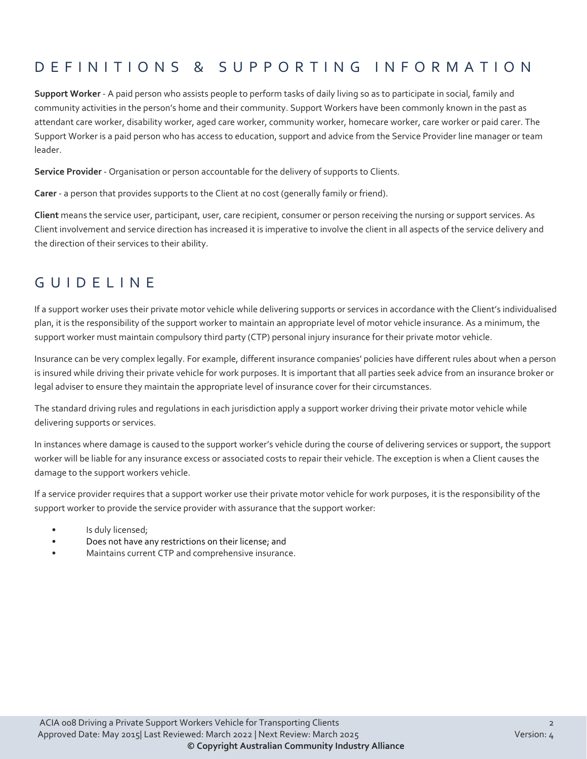# DEFINITIONS & SUPPORTING INFORMATIO N

**Support Worker** - A paid person who assists people to perform tasks of daily living so as to participate in social, family and community activities in the person's home and their community. Support Workers have been commonly known in the past as attendant care worker, disability worker, aged care worker, community worker, homecare worker, care worker or paid carer. The Support Worker is a paid person who has access to education, support and advice from the Service Provider line manager or team leader.

**Service Provider** - Organisation or person accountable for the delivery of supports to Clients.

**Carer** - a person that provides supports to the Client at no cost (generally family or friend).

**Client** means the service user, participant, user, care recipient, consumer or person receiving the nursing or support services. As Client involvement and service direction has increased it is imperative to involve the client in all aspects of the service delivery and the direction of their services to their ability.

#### GUIDELINE

If a support worker uses their private motor vehicle while delivering supports or services in accordance with the Client's individualised plan, it is the responsibility of the support worker to maintain an appropriate level of motor vehicle insurance. As a minimum, the support worker must maintain compulsory third party (CTP) personal injury insurance for their private motor vehicle.

Insurance can be very complex legally. For example, different insurance companies' policies have different rules about when a person is insured while driving their private vehicle for work purposes. It is important that all parties seek advice from an insurance broker or legal adviser to ensure they maintain the appropriate level of insurance cover for their circumstances.

The standard driving rules and regulations in each jurisdiction apply a support worker driving their private motor vehicle while delivering supports or services.

In instances where damage is caused to the support worker's vehicle during the course of delivering services or support, the support worker will be liable for any insurance excess or associated costs to repair their vehicle. The exception is when a Client causes the damage to the support workers vehicle.

If a service provider requires that a support worker use their private motor vehicle for work purposes, it is the responsibility of the support worker to provide the service provider with assurance that the support worker:

- Is duly licensed;
- Does not have any restrictions on their license; and
- Maintains current CTP and comprehensive insurance.